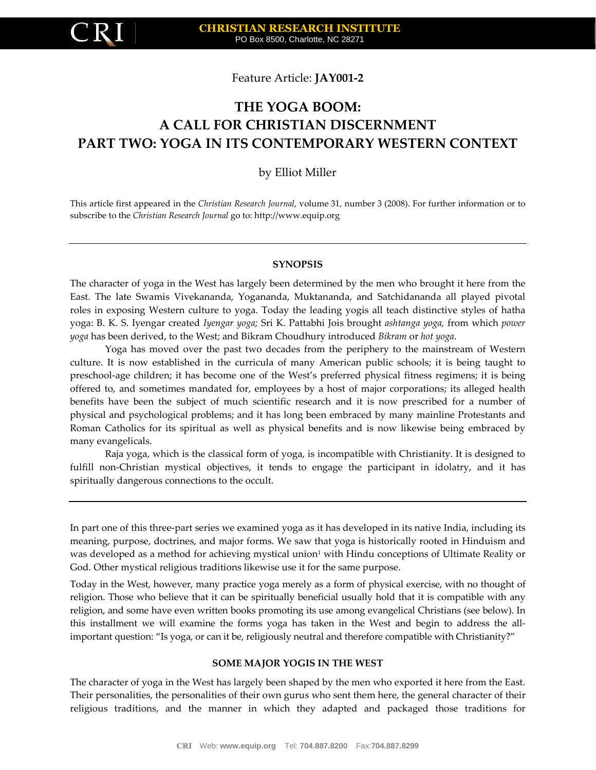

Feature Article: **JAY001-2**

# **THE YOGA BOOM: A CALL FOR CHRISTIAN DISCERNMENT PART TWO: YOGA IN ITS CONTEMPORARY WESTERN CONTEXT**

by Elliot Miller

This article first appeared in the *Christian Research Journal*, volume 31, number 3 (2008). For further information or to subscribe to the *Christian Research Journal* go to: [http://www.equip.org](http://www.equip.org/)

#### **SYNOPSIS**

The character of yoga in the West has largely been determined by the men who brought it here from the East. The late Swamis Vivekananda, Yogananda, Muktananda, and Satchidananda all played pivotal roles in exposing Western culture to yoga. Today the leading yogis all teach distinctive styles of hatha yoga: B. K. S. Iyengar created *Iyengar yoga;* Sri K. Pattabhi Jois brought *ashtanga yoga,* from which *power yoga* has been derived, to the West; and Bikram Choudhury introduced *Bikram* or *hot yoga*.

Yoga has moved over the past two decades from the periphery to the mainstream of Western culture. It is now established in the curricula of many American public schools; it is being taught to preschool-age children; it has become one of the West's preferred physical fitness regimens; it is being offered to, and sometimes mandated for, employees by a host of major corporations; its alleged health benefits have been the subject of much scientific research and it is now prescribed for a number of physical and psychological problems; and it has long been embraced by many mainline Protestants and Roman Catholics for its spiritual as well as physical benefits and is now likewise being embraced by many evangelicals.

Raja yoga, which is the classical form of yoga, is incompatible with Christianity. It is designed to fulfill non-Christian mystical objectives, it tends to engage the participant in idolatry, and it has spiritually dangerous connections to the occult.

In part one of this three-part series we examined yoga as it has developed in its native India, including its meaning, purpose, doctrines, and major forms. We saw that yoga is historically rooted in Hinduism and was developed as a method for achieving mystical union<sup>1</sup> with Hindu conceptions of Ultimate Reality or God. Other mystical religious traditions likewise use it for the same purpose.

Today in the West, however, many practice yoga merely as a form of physical exercise, with no thought of religion. Those who believe that it can be spiritually beneficial usually hold that it is compatible with any religion, and some have even written books promoting its use among evangelical Christians (see below). In this installment we will examine the forms yoga has taken in the West and begin to address the allimportant question: "Is yoga, or can it be, religiously neutral and therefore compatible with Christianity?"

# **SOME MAJOR YOGIS IN THE WEST**

The character of yoga in the West has largely been shaped by the men who exported it here from the East. Their personalities, the personalities of their own gurus who sent them here, the general character of their religious traditions, and the manner in which they adapted and packaged those traditions for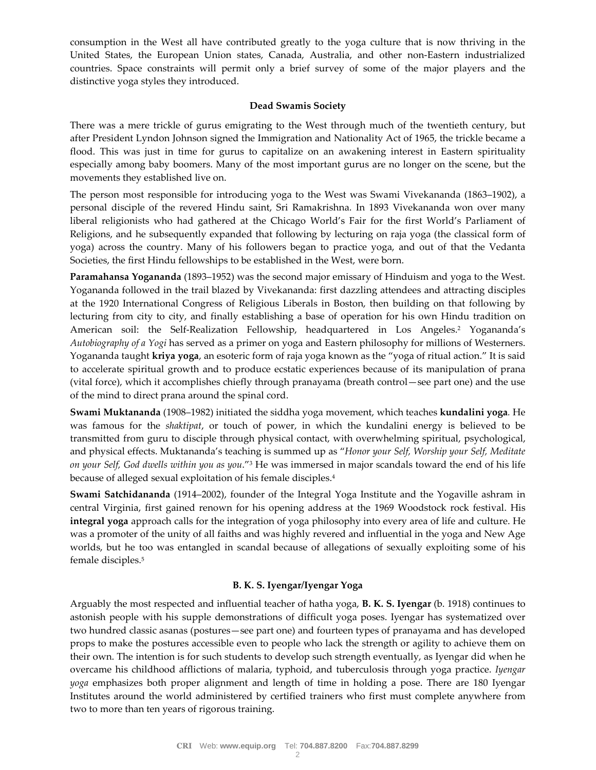consumption in the West all have contributed greatly to the yoga culture that is now thriving in the United States, the European Union states, Canada, Australia, and other non-Eastern industrialized countries. Space constraints will permit only a brief survey of some of the major players and the distinctive yoga styles they introduced.

# **Dead Swamis Society**

There was a mere trickle of gurus emigrating to the West through much of the twentieth century, but after President Lyndon Johnson signed the Immigration and Nationality Act of 1965, the trickle became a flood. This was just in time for gurus to capitalize on an awakening interest in Eastern spirituality especially among baby boomers. Many of the most important gurus are no longer on the scene, but the movements they established live on.

The person most responsible for introducing yoga to the West was Swami Vivekananda (1863–1902), a personal disciple of the revered Hindu saint, Sri Ramakrishna. In 1893 Vivekananda won over many liberal religionists who had gathered at the Chicago World's Fair for the first World's Parliament of Religions, and he subsequently expanded that following by lecturing on raja yoga (the classical form of yoga) across the country. Many of his followers began to practice yoga, and out of that the Vedanta Societies, the first Hindu fellowships to be established in the West, were born.

**Paramahansa Yogananda** (1893–1952) was the second major emissary of Hinduism and yoga to the West. Yogananda followed in the trail blazed by Vivekananda: first dazzling attendees and attracting disciples at the 1920 International Congress of Religious Liberals in Boston, then building on that following by lecturing from city to city, and finally establishing a base of operation for his own Hindu tradition on American soil: the Self-Realization Fellowship, headquartered in Los Angeles.<sup>2</sup> Yogananda's *Autobiography of a Yogi* has served as a primer on yoga and Eastern philosophy for millions of Westerners. Yogananda taught **kriya yoga**, an esoteric form of raja yoga known as the "yoga of ritual action." It is said to accelerate spiritual growth and to produce ecstatic experiences because of its manipulation of prana (vital force), which it accomplishes chiefly through pranayama (breath control—see part one) and the use of the mind to direct prana around the spinal cord.

**Swami Muktananda** (1908–1982) initiated the siddha yoga movement, which teaches **kundalini yoga***.* He was famous for the *shaktipat*, or touch of power, in which the kundalini energy is believed to be transmitted from guru to disciple through physical contact, with overwhelming spiritual, psychological, and physical effects. Muktananda's teaching is summed up as "*Honor your Self, Worship your Self, Meditate on your Self, God dwells within you as you*."<sup>3</sup> He was immersed in major scandals toward the end of his life because of alleged sexual exploitation of his female disciples.<sup>4</sup>

**Swami Satchidananda** (1914–2002), founder of the Integral Yoga Institute and the Yogaville ashram in central Virginia, first gained renown for his opening address at the 1969 Woodstock rock festival. His **integral yoga** approach calls for the integration of yoga philosophy into every area of life and culture. He was a promoter of the unity of all faiths and was highly revered and influential in the yoga and New Age worlds, but he too was entangled in scandal because of allegations of sexually exploiting some of his female disciples.<sup>5</sup>

# **B. K. S. Iyengar/Iyengar Yoga**

Arguably the most respected and influential teacher of hatha yoga, **B. K. S. Iyengar** (b. 1918) continues to astonish people with his supple demonstrations of difficult yoga poses. Iyengar has systematized over two hundred classic asanas (postures—see part one) and fourteen types of pranayama and has developed props to make the postures accessible even to people who lack the strength or agility to achieve them on their own. The intention is for such students to develop such strength eventually, as Iyengar did when he overcame his childhood afflictions of malaria, typhoid, and tuberculosis through yoga practice. *Iyengar yoga* emphasizes both proper alignment and length of time in holding a pose. There are 180 Iyengar Institutes around the world administered by certified trainers who first must complete anywhere from two to more than ten years of rigorous training.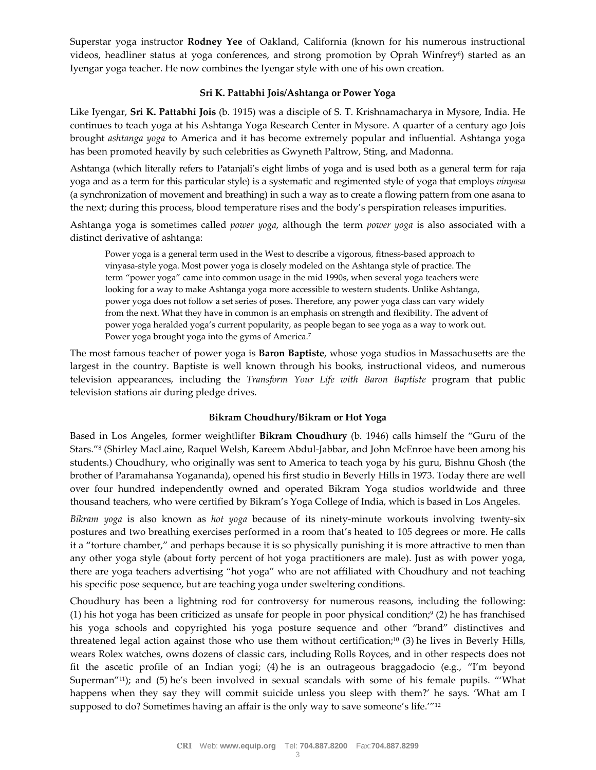Superstar yoga instructor **Rodney Yee** of Oakland, California (known for his numerous instructional videos, headliner status at yoga conferences, and strong promotion by Oprah Winfrey<sup>6</sup>) started as an Iyengar yoga teacher. He now combines the Iyengar style with one of his own creation.

## **Sri K. Pattabhi Jois/Ashtanga or Power Yoga**

Like Iyengar, **Sri K. Pattabhi Jois** (b. 1915) was a disciple of S. T. Krishnamacharya in Mysore, India. He continues to teach yoga at his Ashtanga Yoga Research Center in Mysore. A quarter of a century ago Jois brought *ashtanga yoga* to America and it has become extremely popular and influential. Ashtanga yoga has been promoted heavily by such celebrities as Gwyneth Paltrow, Sting, and Madonna.

Ashtanga (which literally refers to Patanjali's eight limbs of yoga and is used both as a general term for raja yoga and as a term for this particular style) is a systematic and regimented style of yoga that employs *vinyasa* (a synchronization of movement and breathing) in such a way as to create a flowing pattern from one asana to the next; during this process, blood temperature rises and the body's perspiration releases impurities.

Ashtanga yoga is sometimes called *power yoga*, although the term *power yoga* is also associated with a distinct derivative of ashtanga:

Power yoga is a general term used in the West to describe a vigorous, fitness-based approach to vinyasa-style yoga. Most power yoga is closely modeled on the Ashtanga style of practice. The term "power yoga" came into common usage in the mid 1990s, when several yoga teachers were looking for a way to make Ashtanga yoga more accessible to western students. Unlike Ashtanga, power yoga does not follow a set series of poses. Therefore, any power yoga class can vary widely from the next. What they have in common is an emphasis on strength and flexibility. The advent of power yoga heralded yoga's current popularity, as people began to see yoga as a way to work out. Power yoga brought yoga into the gyms of America.<sup>7</sup>

The most famous teacher of power yoga is **Baron Baptiste**, whose yoga studios in Massachusetts are the largest in the country. Baptiste is well known through his books, instructional videos, and numerous television appearances, including the *Transform Your Life with Baron Baptiste* program that public television stations air during pledge drives.

# **Bikram Choudhury/Bikram or Hot Yoga**

Based in Los Angeles, former weightlifter **Bikram Choudhury** (b. 1946) calls himself the "Guru of the Stars."<sup>8</sup> (Shirley MacLaine, Raquel Welsh, Kareem Abdul-Jabbar, and John McEnroe have been among his students.) Choudhury, who originally was sent to America to teach yoga by his guru, Bishnu Ghosh (the brother of Paramahansa Yogananda), opened his first studio in Beverly Hills in 1973. Today there are well over four hundred independently owned and operated Bikram Yoga studios worldwide and three thousand teachers, who were certified by Bikram's Yoga College of India, which is based in Los Angeles.

*Bikram yoga* is also known as *hot yoga* because of its ninety-minute workouts involving twenty-six postures and two breathing exercises performed in a room that's heated to 105 degrees or more. He calls it a "torture chamber," and perhaps because it is so physically punishing it is more attractive to men than any other yoga style (about forty percent of hot yoga practitioners are male). Just as with power yoga, there are yoga teachers advertising "hot yoga" who are not affiliated with Choudhury and not teaching his specific pose sequence, but are teaching yoga under sweltering conditions.

Choudhury has been a lightning rod for controversy for numerous reasons, including the following: (1) his hot yoga has been criticized as unsafe for people in poor physical condition;<sup>9</sup> (2) he has franchised his yoga schools and copyrighted his yoga posture sequence and other "brand" distinctives and threatened legal action against those who use them without certification;<sup>10</sup> (3) he lives in Beverly Hills, wears Rolex watches, owns dozens of classic cars, including Rolls Royces, and in other respects does not fit the ascetic profile of an Indian yogi; (4) he is an outrageous braggadocio (e.g., "I'm beyond Superman"<sup>11</sup>); and (5) he's been involved in sexual scandals with some of his female pupils. "'What happens when they say they will commit suicide unless you sleep with them?' he says. 'What am I supposed to do? Sometimes having an affair is the only way to save someone's life.'"12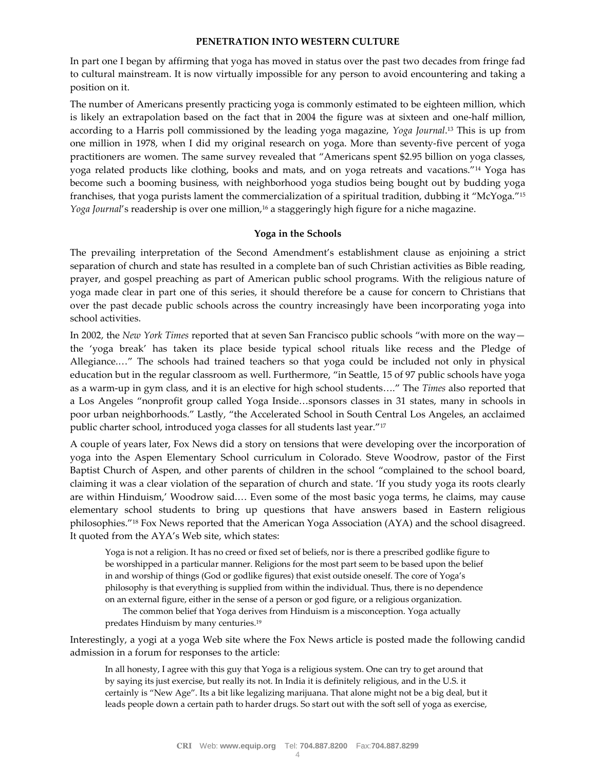## **PENETRATION INTO WESTERN CULTURE**

In part one I began by affirming that yoga has moved in status over the past two decades from fringe fad to cultural mainstream. It is now virtually impossible for any person to avoid encountering and taking a position on it.

The number of Americans presently practicing yoga is commonly estimated to be eighteen million, which is likely an extrapolation based on the fact that in 2004 the figure was at sixteen and one-half million, according to a Harris poll commissioned by the leading yoga magazine, *Yoga Journal*. <sup>13</sup> This is up from one million in 1978, when I did my original research on yoga. More than seventy-five percent of yoga practitioners are women. The same survey revealed that "Americans spent \$2.95 billion on yoga classes, yoga related products like clothing, books and mats, and on yoga retreats and vacations."<sup>14</sup> Yoga has become such a booming business, with neighborhood yoga studios being bought out by budding yoga franchises, that yoga purists lament the commercialization of a spiritual tradition, dubbing it "McYoga."<sup>15</sup> *Yoga Journal*'s readership is over one million,<sup>16</sup> a staggeringly high figure for a niche magazine.

#### **Yoga in the Schools**

The prevailing interpretation of the Second Amendment's establishment clause as enjoining a strict separation of church and state has resulted in a complete ban of such Christian activities as Bible reading, prayer, and gospel preaching as part of American public school programs. With the religious nature of yoga made clear in part one of this series, it should therefore be a cause for concern to Christians that over the past decade public schools across the country increasingly have been incorporating yoga into school activities.

In 2002, the *New York Times* reported that at seven San Francisco public schools "with more on the way the 'yoga break' has taken its place beside typical school rituals like recess and the Pledge of Allegiance.…" The schools had trained teachers so that yoga could be included not only in physical education but in the regular classroom as well. Furthermore, "in Seattle, 15 of 97 public schools have yoga as a warm-up in gym class, and it is an elective for high school students…." The *Times* also reported that a Los Angeles "nonprofit group called Yoga Inside…sponsors classes in 31 states, many in schools in poor urban neighborhoods." Lastly, "the Accelerated School in South Central Los Angeles, an acclaimed public charter school, introduced yoga classes for all students last year."<sup>17</sup>

A couple of years later, Fox News did a story on tensions that were developing over the incorporation of yoga into the Aspen Elementary School curriculum in Colorado. Steve Woodrow, pastor of the First Baptist Church of Aspen, and other parents of children in the school "complained to the school board, claiming it was a clear violation of the separation of church and state. 'If you study yoga its roots clearly are within Hinduism,' Woodrow said.… Even some of the most basic yoga terms, he claims, may cause elementary school students to bring up questions that have answers based in Eastern religious philosophies."<sup>18</sup> Fox News reported that the American Yoga Association (AYA) and the school disagreed. It quoted from the AYA's Web site, which states:

Yoga is not a religion. It has no creed or fixed set of beliefs, nor is there a prescribed godlike figure to be worshipped in a particular manner. Religions for the most part seem to be based upon the belief in and worship of things (God or godlike figures) that exist outside oneself. The core of Yoga's philosophy is that everything is supplied from within the individual. Thus, there is no dependence on an external figure, either in the sense of a person or god figure, or a religious organization.

The common belief that Yoga derives from Hinduism is a misconception. Yoga actually predates Hinduism by many centuries.<sup>19</sup>

Interestingly, a yogi at a yoga Web site where the Fox News article is posted made the following candid admission in a forum for responses to the article:

In all honesty, I agree with this guy that Yoga is a religious system. One can try to get around that by saying its just exercise, but really its not. In India it is definitely religious, and in the U.S. it certainly is "New Age". Its a bit like legalizing marijuana. That alone might not be a big deal, but it leads people down a certain path to harder drugs. So start out with the soft sell of yoga as exercise,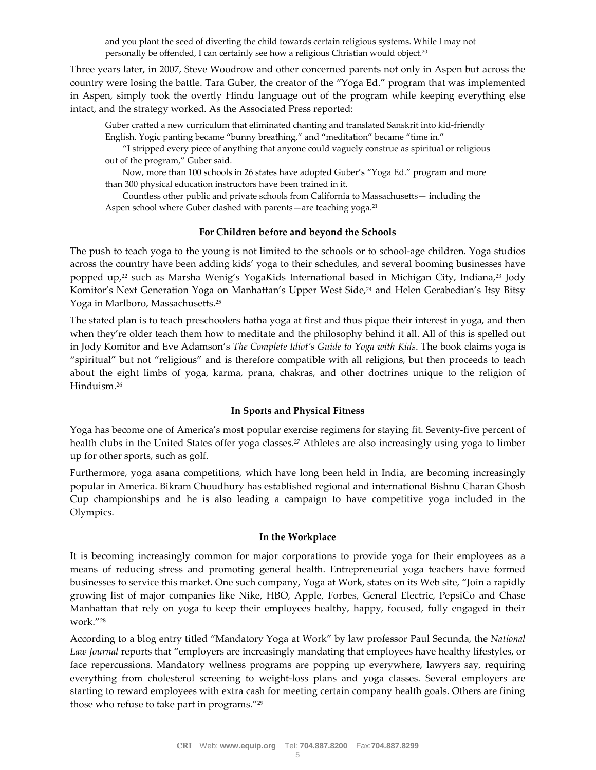and you plant the seed of diverting the child towards certain religious systems. While I may not personally be offended, I can certainly see how a religious Christian would object.<sup>20</sup>

Three years later, in 2007, Steve Woodrow and other concerned parents not only in Aspen but across the country were losing the battle. Tara Guber, the creator of the "Yoga Ed." program that was implemented in Aspen, simply took the overtly Hindu language out of the program while keeping everything else intact, and the strategy worked. As the Associated Press reported:

Guber crafted a new curriculum that eliminated chanting and translated Sanskrit into kid-friendly English. Yogic panting became "bunny breathing," and "meditation" became "time in."

"I stripped every piece of anything that anyone could vaguely construe as spiritual or religious out of the program," Guber said.

Now, more than 100 schools in 26 states have adopted Guber's "Yoga Ed." program and more than 300 physical education instructors have been trained in it.

Countless other public and private schools from California to Massachusetts— including the Aspen school where Guber clashed with parents—are teaching yoga.<sup>21</sup>

## **For Children before and beyond the Schools**

The push to teach yoga to the young is not limited to the schools or to school-age children. Yoga studios across the country have been adding kids' yoga to their schedules, and several booming businesses have popped up,<sup>22</sup> such as Marsha Wenig's YogaKids International based in Michigan City, Indiana,<sup>23</sup> Jody Komitor's Next Generation Yoga on Manhattan's Upper West Side,<sup>24</sup> and Helen Gerabedian's Itsy Bitsy Yoga in Marlboro, Massachusetts.<sup>25</sup>

The stated plan is to teach preschoolers hatha yoga at first and thus pique their interest in yoga, and then when they're older teach them how to meditate and the philosophy behind it all. All of this is spelled out in Jody Komitor and Eve Adamson's *The Complete Idiot's Guide to Yoga with Kids*. The book claims yoga is "spiritual" but not "religious" and is therefore compatible with all religions, but then proceeds to teach about the eight limbs of yoga, karma, prana, chakras, and other doctrines unique to the religion of Hinduism.<sup>26</sup>

## **In Sports and Physical Fitness**

Yoga has become one of America's most popular exercise regimens for staying fit. Seventy-five percent of health clubs in the United States offer yoga classes.<sup>27</sup> Athletes are also increasingly using yoga to limber up for other sports, such as golf.

Furthermore, yoga asana competitions, which have long been held in India, are becoming increasingly popular in America. Bikram Choudhury has established regional and international Bishnu Charan Ghosh Cup championships and he is also leading a campaign to have competitive yoga included in the Olympics.

#### **In the Workplace**

It is becoming increasingly common for major corporations to provide yoga for their employees as a means of reducing stress and promoting general health. Entrepreneurial yoga teachers have formed businesses to service this market. One such company, Yoga at Work, states on its Web site, "Join a rapidly growing list of major companies like Nike, HBO, Apple, Forbes, General Electric, PepsiCo and Chase Manhattan that rely on yoga to keep their employees healthy, happy, focused, fully engaged in their work."<sup>28</sup>

According to a blog entry titled "Mandatory Yoga at Work" by law professor Paul Secunda, the *National Law Journal* reports that "employers are increasingly mandating that employees have healthy lifestyles, or face repercussions. Mandatory wellness programs are popping up everywhere, lawyers say, requiring everything from cholesterol screening to weight-loss plans and yoga classes. Several employers are starting to reward employees with extra cash for meeting certain company health goals. Others are fining those who refuse to take part in programs."29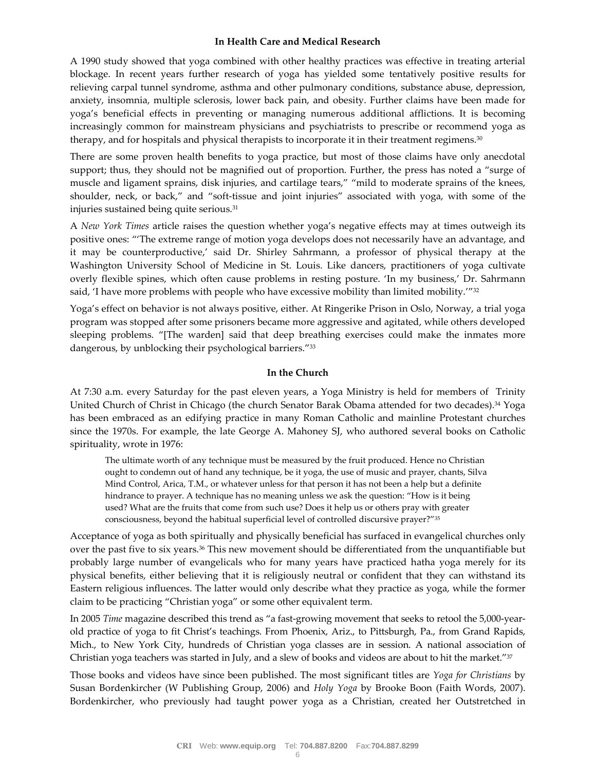## **In Health Care and Medical Research**

A 1990 study showed that yoga combined with other healthy practices was effective in treating arterial blockage. In recent years further research of yoga has yielded some tentatively positive results for relieving carpal tunnel syndrome, asthma and other pulmonary conditions, substance abuse, depression, anxiety, insomnia, multiple sclerosis, lower back pain, and obesity. Further claims have been made for yoga's beneficial effects in preventing or managing numerous additional afflictions. It is becoming increasingly common for mainstream physicians and psychiatrists to prescribe or recommend yoga as therapy, and for hospitals and physical therapists to incorporate it in their treatment regimens.<sup>30</sup>

There are some proven health benefits to yoga practice, but most of those claims have only anecdotal support; thus, they should not be magnified out of proportion. Further, the press has noted a "surge of muscle and ligament sprains, disk injuries, and cartilage tears," "mild to moderate sprains of the knees, shoulder, neck, or back," and "soft-tissue and joint injuries" associated with yoga, with some of the injuries sustained being quite serious.<sup>31</sup>

A *New York Times* article raises the question whether yoga's negative effects may at times outweigh its positive ones: "'The extreme range of motion yoga develops does not necessarily have an advantage, and it may be counterproductive,' said Dr. Shirley Sahrmann, a professor of physical therapy at the Washington University School of Medicine in St. Louis. Like dancers, practitioners of yoga cultivate overly flexible spines, which often cause problems in resting posture. 'In my business,' Dr. Sahrmann said, 'I have more problems with people who have excessive mobility than limited mobility.'"<sup>32</sup>

Yoga's effect on behavior is not always positive, either. At Ringerike Prison in Oslo, Norway, a trial yoga program was stopped after some prisoners became more aggressive and agitated, while others developed sleeping problems. "[The warden] said that deep breathing exercises could make the inmates more dangerous, by unblocking their psychological barriers."33

#### **In the Church**

At 7:30 a.m. every Saturday for the past eleven years, a Yoga Ministry is held for members of Trinity United Church of Christ in Chicago (the church Senator Barak Obama attended for two decades).<sup>34</sup> Yoga has been embraced as an edifying practice in many Roman Catholic and mainline Protestant churches since the 1970s. For example, the late George A. Mahoney SJ, who authored several books on Catholic spirituality, wrote in 1976:

The ultimate worth of any technique must be measured by the fruit produced. Hence no Christian ought to condemn out of hand any technique, be it yoga, the use of music and prayer, chants, Silva Mind Control, Arica, T.M., or whatever unless for that person it has not been a help but a definite hindrance to prayer. A technique has no meaning unless we ask the question: "How is it being used? What are the fruits that come from such use? Does it help us or others pray with greater consciousness, beyond the habitual superficial level of controlled discursive prayer?"<sup>35</sup>

Acceptance of yoga as both spiritually and physically beneficial has surfaced in evangelical churches only over the past five to six years.<sup>36</sup> This new movement should be differentiated from the unquantifiable but probably large number of evangelicals who for many years have practiced hatha yoga merely for its physical benefits, either believing that it is religiously neutral or confident that they can withstand its Eastern religious influences. The latter would only describe what they practice as yoga, while the former claim to be practicing "Christian yoga" or some other equivalent term.

In 2005 *Time* magazine described this trend as "a fast-growing movement that seeks to retool the 5,000-yearold practice of yoga to fit Christ's teachings. From Phoenix, Ariz., to Pittsburgh, Pa., from Grand Rapids, Mich., to New York City, hundreds of Christian yoga classes are in session. A national association of Christian yoga teachers was started in July, and a slew of books and videos are about to hit the market."<sup>37</sup>

Those books and videos have since been published. The most significant titles are *Yoga for Christians* by Susan Bordenkircher (W Publishing Group, 2006) and *Holy Yoga* by Brooke Boon (Faith Words, 2007). Bordenkircher, who previously had taught power yoga as a Christian, created her Outstretched in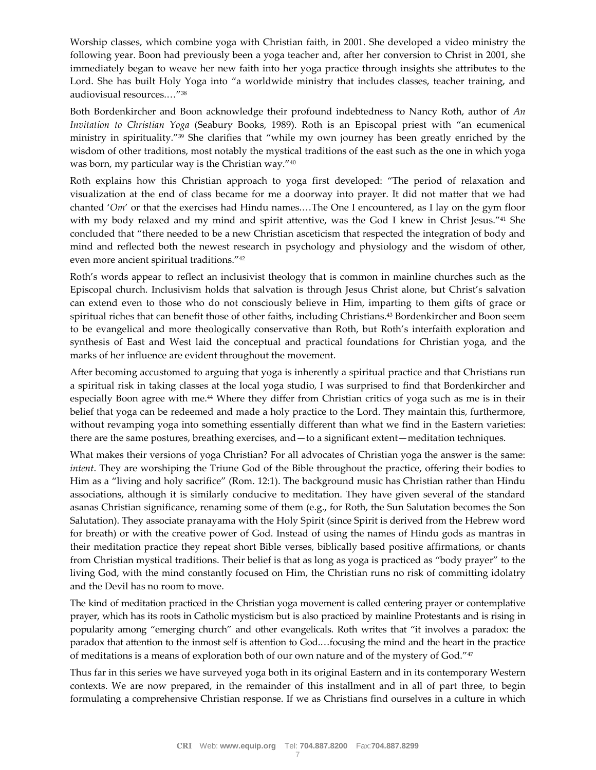Worship classes, which combine yoga with Christian faith, in 2001. She developed a video ministry the following year. Boon had previously been a yoga teacher and, after her conversion to Christ in 2001, she immediately began to weave her new faith into her yoga practice through insights she attributes to the Lord. She has built Holy Yoga into "a worldwide ministry that includes classes, teacher training, and audiovisual resources.…"<sup>38</sup>

Both Bordenkircher and Boon acknowledge their profound indebtedness to Nancy Roth, author of *An Invitation to Christian Yoga* (Seabury Books, 1989). Roth is an Episcopal priest with "an ecumenical ministry in spirituality."<sup>39</sup> She clarifies that "while my own journey has been greatly enriched by the wisdom of other traditions, most notably the mystical traditions of the east such as the one in which yoga was born, my particular way is the Christian way."<sup>40</sup>

Roth explains how this Christian approach to yoga first developed: "The period of relaxation and visualization at the end of class became for me a doorway into prayer. It did not matter that we had chanted '*Om*' or that the exercises had Hindu names.…The One I encountered, as I lay on the gym floor with my body relaxed and my mind and spirit attentive, was the God I knew in Christ Jesus."<sup>41</sup> She concluded that "there needed to be a new Christian asceticism that respected the integration of body and mind and reflected both the newest research in psychology and physiology and the wisdom of other, even more ancient spiritual traditions."<sup>42</sup>

Roth's words appear to reflect an inclusivist theology that is common in mainline churches such as the Episcopal church. Inclusivism holds that salvation is through Jesus Christ alone, but Christ's salvation can extend even to those who do not consciously believe in Him, imparting to them gifts of grace or spiritual riches that can benefit those of other faiths, including Christians.<sup>43</sup> Bordenkircher and Boon seem to be evangelical and more theologically conservative than Roth, but Roth's interfaith exploration and synthesis of East and West laid the conceptual and practical foundations for Christian yoga, and the marks of her influence are evident throughout the movement.

After becoming accustomed to arguing that yoga is inherently a spiritual practice and that Christians run a spiritual risk in taking classes at the local yoga studio, I was surprised to find that Bordenkircher and especially Boon agree with me.<sup>44</sup> Where they differ from Christian critics of yoga such as me is in their belief that yoga can be redeemed and made a holy practice to the Lord. They maintain this, furthermore, without revamping yoga into something essentially different than what we find in the Eastern varieties: there are the same postures, breathing exercises, and—to a significant extent—meditation techniques.

What makes their versions of yoga Christian? For all advocates of Christian yoga the answer is the same: *intent*. They are worshiping the Triune God of the Bible throughout the practice, offering their bodies to Him as a "living and holy sacrifice" (Rom. 12:1). The background music has Christian rather than Hindu associations, although it is similarly conducive to meditation. They have given several of the standard asanas Christian significance, renaming some of them (e.g., for Roth, the Sun Salutation becomes the Son Salutation). They associate pranayama with the Holy Spirit (since Spirit is derived from the Hebrew word for breath) or with the creative power of God. Instead of using the names of Hindu gods as mantras in their meditation practice they repeat short Bible verses, biblically based positive affirmations, or chants from Christian mystical traditions. Their belief is that as long as yoga is practiced as "body prayer" to the living God, with the mind constantly focused on Him, the Christian runs no risk of committing idolatry and the Devil has no room to move.

The kind of meditation practiced in the Christian yoga movement is called centering prayer or contemplative prayer, which has its roots in Catholic mysticism but is also practiced by mainline Protestants and is rising in popularity among "emerging church" and other evangelicals. Roth writes that "it involves a paradox: the paradox that attention to the inmost self is attention to God.…focusing the mind and the heart in the practice of meditations is a means of exploration both of our own nature and of the mystery of God."<sup>47</sup>

Thus far in this series we have surveyed yoga both in its original Eastern and in its contemporary Western contexts. We are now prepared, in the remainder of this installment and in all of part three, to begin formulating a comprehensive Christian response. If we as Christians find ourselves in a culture in which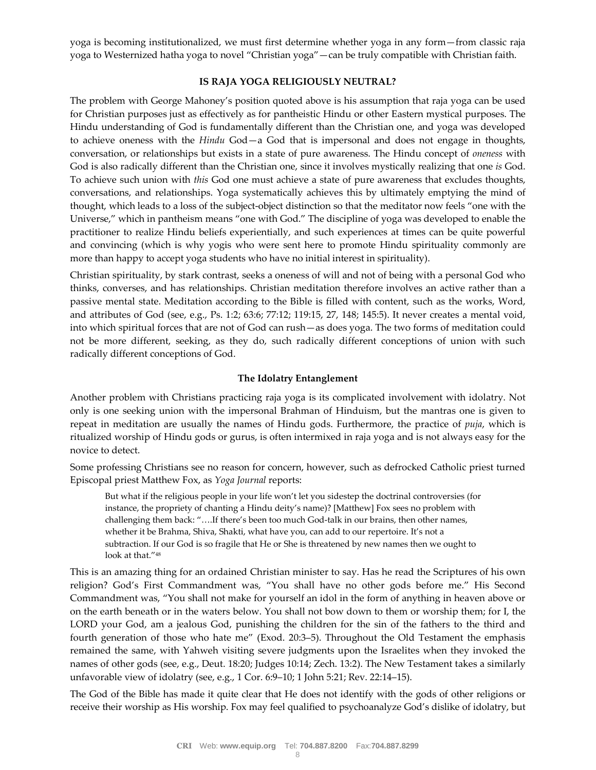yoga is becoming institutionalized, we must first determine whether yoga in any form—from classic raja yoga to Westernized hatha yoga to novel "Christian yoga"—can be truly compatible with Christian faith.

#### **IS RAJA YOGA RELIGIOUSLY NEUTRAL?**

The problem with George Mahoney's position quoted above is his assumption that raja yoga can be used for Christian purposes just as effectively as for pantheistic Hindu or other Eastern mystical purposes. The Hindu understanding of God is fundamentally different than the Christian one, and yoga was developed to achieve oneness with the *Hindu* God—a God that is impersonal and does not engage in thoughts, conversation, or relationships but exists in a state of pure awareness. The Hindu concept of *oneness* with God is also radically different than the Christian one, since it involves mystically realizing that one *is* God. To achieve such union with *this* God one must achieve a state of pure awareness that excludes thoughts, conversations, and relationships. Yoga systematically achieves this by ultimately emptying the mind of thought, which leads to a loss of the subject-object distinction so that the meditator now feels "one with the Universe," which in pantheism means "one with God." The discipline of yoga was developed to enable the practitioner to realize Hindu beliefs experientially, and such experiences at times can be quite powerful and convincing (which is why yogis who were sent here to promote Hindu spirituality commonly are more than happy to accept yoga students who have no initial interest in spirituality).

Christian spirituality, by stark contrast, seeks a oneness of will and not of being with a personal God who thinks, converses, and has relationships. Christian meditation therefore involves an active rather than a passive mental state. Meditation according to the Bible is filled with content, such as the works, Word, and attributes of God (see, e.g., Ps. 1:2; 63:6; 77:12; 119:15, 27, 148; 145:5). It never creates a mental void, into which spiritual forces that are not of God can rush—as does yoga. The two forms of meditation could not be more different, seeking, as they do, such radically different conceptions of union with such radically different conceptions of God.

#### **The Idolatry Entanglement**

Another problem with Christians practicing raja yoga is its complicated involvement with idolatry. Not only is one seeking union with the impersonal Brahman of Hinduism, but the mantras one is given to repeat in meditation are usually the names of Hindu gods. Furthermore, the practice of *puja*, which is ritualized worship of Hindu gods or gurus, is often intermixed in raja yoga and is not always easy for the novice to detect.

Some professing Christians see no reason for concern, however, such as defrocked Catholic priest turned Episcopal priest Matthew Fox, as *Yoga Journal* reports:

But what if the religious people in your life won't let you sidestep the doctrinal controversies (for instance, the propriety of chanting a Hindu deity's name)? [Matthew] Fox sees no problem with challenging them back: "….If there's been too much God-talk in our brains, then other names, whether it be Brahma, Shiva, Shakti, what have you, can add to our repertoire. It's not a subtraction. If our God is so fragile that He or She is threatened by new names then we ought to look at that."<sup>48</sup>

This is an amazing thing for an ordained Christian minister to say. Has he read the Scriptures of his own religion? God's First Commandment was, "You shall have no other gods before me." His Second Commandment was, "You shall not make for yourself an idol in the form of anything in heaven above or on the earth beneath or in the waters below. You shall not bow down to them or worship them; for I, the LORD your God, am a jealous God, punishing the children for the sin of the fathers to the third and fourth generation of those who hate me" (Exod. 20:3–5). Throughout the Old Testament the emphasis remained the same, with Yahweh visiting severe judgments upon the Israelites when they invoked the names of other gods (see, e.g., Deut. 18:20; Judges 10:14; Zech. 13:2). The New Testament takes a similarly unfavorable view of idolatry (see, e.g., 1 Cor. 6:9–10; 1 John 5:21; Rev. 22:14–15).

The God of the Bible has made it quite clear that He does not identify with the gods of other religions or receive their worship as His worship. Fox may feel qualified to psychoanalyze God's dislike of idolatry, but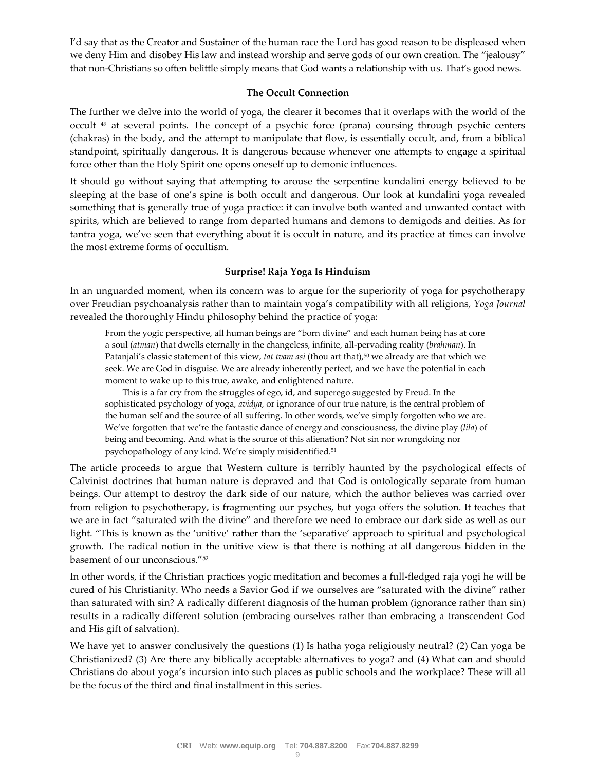I'd say that as the Creator and Sustainer of the human race the Lord has good reason to be displeased when we deny Him and disobey His law and instead worship and serve gods of our own creation. The "jealousy" that non-Christians so often belittle simply means that God wants a relationship with us. That's good news.

#### **The Occult Connection**

The further we delve into the world of yoga, the clearer it becomes that it overlaps with the world of the occult <sup>49</sup> at several points. The concept of a psychic force (prana) coursing through psychic centers (chakras) in the body, and the attempt to manipulate that flow, is essentially occult, and, from a biblical standpoint, spiritually dangerous. It is dangerous because whenever one attempts to engage a spiritual force other than the Holy Spirit one opens oneself up to demonic influences.

It should go without saying that attempting to arouse the serpentine kundalini energy believed to be sleeping at the base of one's spine is both occult and dangerous. Our look at kundalini yoga revealed something that is generally true of yoga practice: it can involve both wanted and unwanted contact with spirits, which are believed to range from departed humans and demons to demigods and deities. As for tantra yoga, we've seen that everything about it is occult in nature, and its practice at times can involve the most extreme forms of occultism.

# **Surprise! Raja Yoga Is Hinduism**

In an unguarded moment, when its concern was to argue for the superiority of yoga for psychotherapy over Freudian psychoanalysis rather than to maintain yoga's compatibility with all religions, *Yoga Journal* revealed the thoroughly Hindu philosophy behind the practice of yoga:

From the yogic perspective, all human beings are "born divine" and each human being has at core a soul (*atman*) that dwells eternally in the changeless, infinite, all-pervading reality (*brahman*). In Patanjali's classic statement of this view, *tat tvam asi* (thou art that),<sup>50</sup> we already are that which we seek. We are God in disguise. We are already inherently perfect, and we have the potential in each moment to wake up to this true, awake, and enlightened nature.

This is a far cry from the struggles of ego, id, and superego suggested by Freud. In the sophisticated psychology of yoga, *avidya*, or ignorance of our true nature, is the central problem of the human self and the source of all suffering. In other words, we've simply forgotten who we are. We've forgotten that we're the fantastic dance of energy and consciousness, the divine play (*lila*) of being and becoming. And what is the source of this alienation? Not sin nor wrongdoing nor psychopathology of any kind. We're simply misidentified.<sup>51</sup>

The article proceeds to argue that Western culture is terribly haunted by the psychological effects of Calvinist doctrines that human nature is depraved and that God is ontologically separate from human beings. Our attempt to destroy the dark side of our nature, which the author believes was carried over from religion to psychotherapy, is fragmenting our psyches, but yoga offers the solution. It teaches that we are in fact "saturated with the divine" and therefore we need to embrace our dark side as well as our light. "This is known as the 'unitive' rather than the 'separative' approach to spiritual and psychological growth. The radical notion in the unitive view is that there is nothing at all dangerous hidden in the basement of our unconscious."<sup>52</sup>

In other words, if the Christian practices yogic meditation and becomes a full-fledged raja yogi he will be cured of his Christianity. Who needs a Savior God if we ourselves are "saturated with the divine" rather than saturated with sin? A radically different diagnosis of the human problem (ignorance rather than sin) results in a radically different solution (embracing ourselves rather than embracing a transcendent God and His gift of salvation).

We have yet to answer conclusively the questions (1) Is hatha yoga religiously neutral? (2) Can yoga be Christianized? (3) Are there any biblically acceptable alternatives to yoga? and (4) What can and should Christians do about yoga's incursion into such places as public schools and the workplace? These will all be the focus of the third and final installment in this series.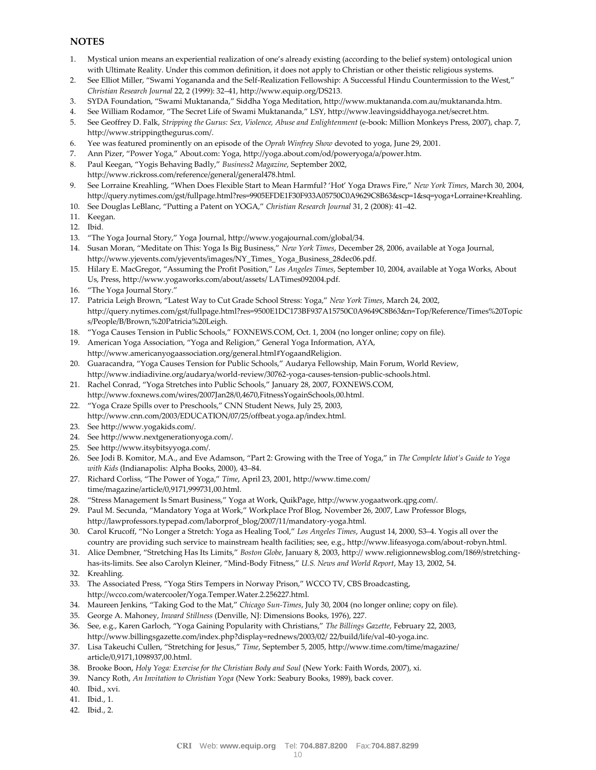# **NOTES**

- 1. Mystical union means an experiential realization of one's already existing (according to the belief system) ontological union with Ultimate Reality. Under this common definition, it does not apply to Christian or other theistic religious systems.
- 2. See Elliot Miller, "Swami Yogananda and the Self-Realization Fellowship: A Successful Hindu Countermission to the West," *Christian Research Journal* 22, 2 (1999): 32–41, http://www.equip.org/DS213.
- 3. SYDA Foundation, "Swami Muktananda," Siddha Yoga Meditation, http://www.muktananda.com.au/muktananda.htm.
- 4. See William Rodamor, "The Secret Life of Swami Muktananda," LSY, http://www.leavingsiddhayoga.net/secret.htm.
- 5. See Geoffrey D. Falk, *Stripping the Gurus: Sex, Violence, Abuse and Enlightenment* (e-book: Million Monkeys Press, 2007), chap. 7, http://www.strippingthegurus.com/.
- 6. Yee was featured prominently on an episode of the *Oprah Winfrey Show* devoted to yoga, June 29, 2001.
- 7. Ann Pizer, "Power Yoga," About.com: Yoga, http://yoga.about.com/od/poweryoga/a/power.htm.
- 8. Paul Keegan, "Yogis Behaving Badly," *Business2 Magazine*, September 2002, http://www.rickross.com/reference/general/general478.html.
- 9. See Lorraine Kreahling, "When Does Flexible Start to Mean Harmful? 'Hot' Yoga Draws Fire," *New York Times*, March 30, 2004, http://query.nytimes.com/gst/fullpage.html?res=9905EFDE1F30F933A05750C0A9629C8B63&scp=1&sq=yoga+Lorraine+Kreahling.
- 10. See Douglas LeBlanc, "Putting a Patent on YOGA," *Christian Research Journal* 31, 2 (2008): 41–42.
- 11. Keegan.
- 12. Ibid.
- 13. "The Yoga Journal Story," Yoga Journal, http://www.yogajournal.com/global/34.
- 14. Susan Moran, "Meditate on This: Yoga Is Big Business," *New York Times*, December 28, 2006, available at Yoga Journal, http://www.yjevents.com/yjevents/images/NY\_Times\_ Yoga\_Business\_28dec06.pdf.
- 15. Hilary E. MacGregor, "Assuming the Profit Position," *Los Angeles Times*, September 10, 2004, available at Yoga Works, About Us, Press, http://www.yogaworks.com/about/assets/ LATimes092004.pdf.
- 16. "The Yoga Journal Story."
- 17. Patricia Leigh Brown, "Latest Way to Cut Grade School Stress: Yoga," *New York Times*, March 24, 2002, http://query.nytimes.com/gst/fullpage.html?res=9500E1DC173BF937A15750C0A9649C8B63&n=Top/Reference/Times%20Topic s/People/B/Brown,%20Patricia%20Leigh.
- 18. "Yoga Causes Tension in Public Schools," FOXNEWS.COM, Oct. 1, 2004 (no longer online; copy on file).
- 19. American Yoga Association, "Yoga and Religion," General Yoga Information, AYA, http://www.americanyogaassociation.org/general.html#YogaandReligion.
- 20. Guaracandra, "Yoga Causes Tension for Public Schools," Audarya Fellowship, Main Forum, World Review, http://www.indiadivine.org/audarya/world-review/30762-yoga-causes-tension-public-schools.html.
- 21. Rachel Conrad, "Yoga Stretches into Public Schools," January 28, 2007, FOXNEWS.COM, http://www.foxnews.com/wires/2007Jan28/0,4670,FitnessYogainSchools,00.html.
- 22. "Yoga Craze Spills over to Preschools," CNN Student News, July 25, 2003, http://www.cnn.com/2003/EDUCATION/07/25/offbeat.yoga.ap/index.html.
- 23. See http://www.yogakids.com/.
- 24. See http://www.nextgenerationyoga.com/.
- 25. See http://www.itsybitsyyoga.com/.
- 26. See Jodi B. Komitor, M.A., and Eve Adamson, "Part 2: Growing with the Tree of Yoga," in *The Complete Idiot's Guide to Yoga with Kids* (Indianapolis: Alpha Books, 2000), 43–84.
- 27. Richard Corliss, "The Power of Yoga," *Time*, April 23, 2001, http://www.time.com/ time/magazine/article/0,9171,999731,00.html.
- 28. "Stress Management Is Smart Business," Yoga at Work, QuikPage, http://www.yogaatwork.qpg.com/.
- 29. Paul M. Secunda, "Mandatory Yoga at Work," Workplace Prof Blog, November 26, 2007, Law Professor Blogs, http://lawprofessors.typepad.com/laborprof\_blog/2007/11/mandatory-yoga.html.
- 30. Carol Krucoff, "No Longer a Stretch: Yoga as Healing Tool," *Los Angeles Times*, August 14, 2000, S3–4. Yogis all over the country are providing such service to mainstream health facilities; see, e.g., http://www.lifeasyoga.com/about-robyn.html.
- 31. Alice Dembner, "Stretching Has Its Limits," *Boston Globe*, January 8, 2003, http:// www.religionnewsblog.com/1869/stretchinghas-its-limits. See also Carolyn Kleiner, "Mind-Body Fitness," *U.S. News and World Report*, May 13, 2002, 54.
- 32. Kreahling.
- 33. The Associated Press, "Yoga Stirs Tempers in Norway Prison," WCCO TV, CBS Broadcasting, http://wcco.com/watercooler/Yoga.Temper.Water.2.256227.html.
- 34. Maureen Jenkins, "Taking God to the Mat," *Chicago Sun-Times*, July 30, 2004 (no longer online; copy on file).
- 35. George A. Mahoney, *Inward Stillness* (Denville, NJ: Dimensions Books, 1976), 227.
- 36. See, e.g., Karen Garloch, "Yoga Gaining Popularity with Christians," *The Billings Gazette*, February 22, 2003, http://www.billingsgazette.com/index.php?display=rednews/2003/02/ 22/build/life/val-40-yoga.inc.
- 37. Lisa Takeuchi Cullen, "Stretching for Jesus," *Time*, September 5, 2005, http://www.time.com/time/magazine/ article/0,9171,1098937,00.html.
- 38. Brooke Boon, *Holy Yoga: Exercise for the Christian Body and Soul* (New York: Faith Words, 2007), xi.
- 39. Nancy Roth, *An Invitation to Christian Yoga* (New York: Seabury Books, 1989), back cover.
- 40. Ibid., xvi.
- 41. Ibid., 1.
- 42. Ibid., 2.